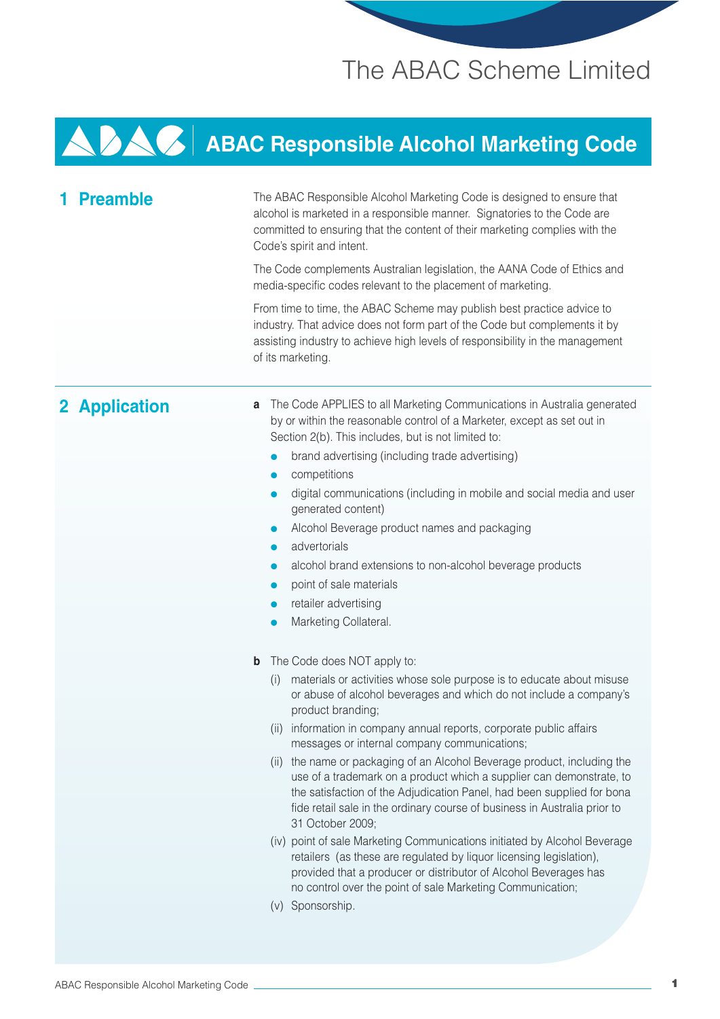## The ABAC Scheme Limited

# **ABAC Responsible Alcohol Marketing Code**

| <b>Preamble</b> | The ABAC Responsible Alcohol Marketing Code is designed to ensure that<br>alcohol is marketed in a responsible manner. Signatories to the Code are<br>committed to ensuring that the content of their marketing complies with the<br>Code's spirit and intent.<br>The Code complements Australian legislation, the AANA Code of Ethics and<br>media-specific codes relevant to the placement of marketing.<br>From time to time, the ABAC Scheme may publish best practice advice to<br>industry. That advice does not form part of the Code but complements it by<br>assisting industry to achieve high levels of responsibility in the management<br>of its marketing.                                                                                                                                                                                                                                                                                                                           |
|-----------------|----------------------------------------------------------------------------------------------------------------------------------------------------------------------------------------------------------------------------------------------------------------------------------------------------------------------------------------------------------------------------------------------------------------------------------------------------------------------------------------------------------------------------------------------------------------------------------------------------------------------------------------------------------------------------------------------------------------------------------------------------------------------------------------------------------------------------------------------------------------------------------------------------------------------------------------------------------------------------------------------------|
| 2 Application   | The Code APPLIES to all Marketing Communications in Australia generated<br>a<br>by or within the reasonable control of a Marketer, except as set out in<br>Section 2(b). This includes, but is not limited to:<br>brand advertising (including trade advertising)<br>competitions<br>digital communications (including in mobile and social media and user<br>$\bullet$<br>generated content)<br>Alcohol Beverage product names and packaging<br>advertorials<br>alcohol brand extensions to non-alcohol beverage products<br>point of sale materials<br>retailer advertising<br>Marketing Collateral.                                                                                                                                                                                                                                                                                                                                                                                             |
|                 | The Code does NOT apply to:<br>$\mathbf b$<br>materials or activities whose sole purpose is to educate about misuse<br>(i)<br>or abuse of alcohol beverages and which do not include a company's<br>product branding;<br>information in company annual reports, corporate public affairs<br>$(\parallel)$<br>messages or internal company communications;<br>(ii) the name or packaging of an Alcohol Beverage product, including the<br>use of a trademark on a product which a supplier can demonstrate, to<br>the satisfaction of the Adjudication Panel, had been supplied for bona<br>fide retail sale in the ordinary course of business in Australia prior to<br>31 October 2009;<br>(iv) point of sale Marketing Communications initiated by Alcohol Beverage<br>retailers (as these are regulated by liquor licensing legislation),<br>provided that a producer or distributor of Alcohol Beverages has<br>no control over the point of sale Marketing Communication;<br>(v) Sponsorship. |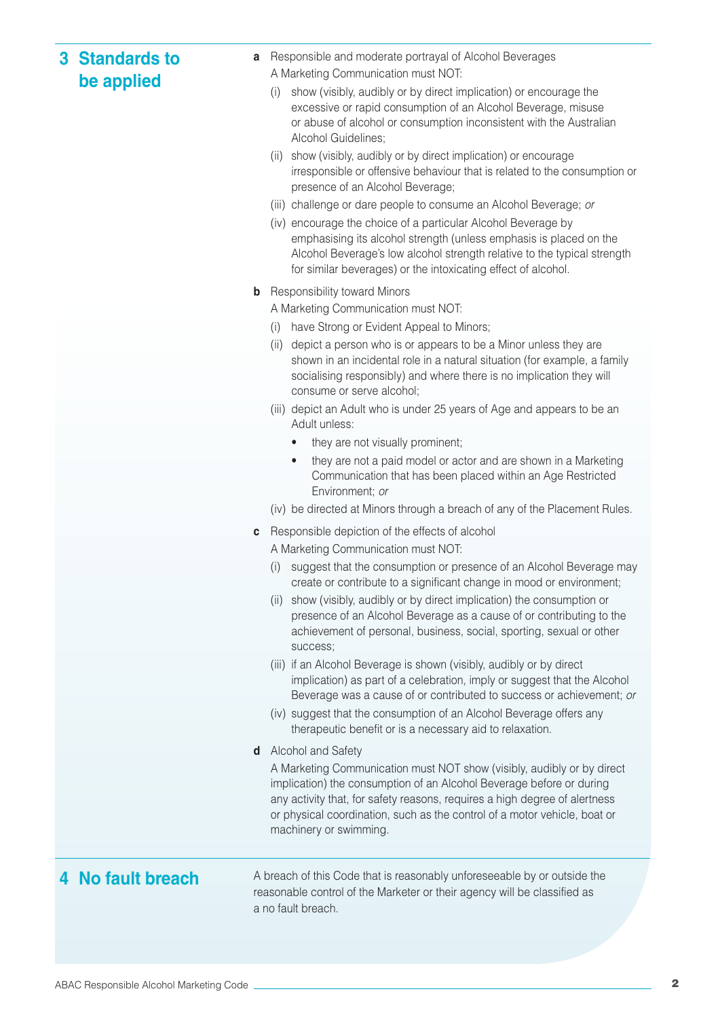| <b>3 Standards to</b><br>be applied | a           | Responsible and moderate portrayal of Alcohol Beverages<br>A Marketing Communication must NOT:                                                                                                                                                                                                                                                            |
|-------------------------------------|-------------|-----------------------------------------------------------------------------------------------------------------------------------------------------------------------------------------------------------------------------------------------------------------------------------------------------------------------------------------------------------|
|                                     |             | show (visibly, audibly or by direct implication) or encourage the<br>(i)<br>excessive or rapid consumption of an Alcohol Beverage, misuse<br>or abuse of alcohol or consumption inconsistent with the Australian<br>Alcohol Guidelines;<br>show (visibly, audibly or by direct implication) or encourage<br>(11)                                          |
|                                     |             | irresponsible or offensive behaviour that is related to the consumption or<br>presence of an Alcohol Beverage;                                                                                                                                                                                                                                            |
|                                     |             | (iii) challenge or dare people to consume an Alcohol Beverage; or                                                                                                                                                                                                                                                                                         |
|                                     |             | (iv) encourage the choice of a particular Alcohol Beverage by<br>emphasising its alcohol strength (unless emphasis is placed on the<br>Alcohol Beverage's low alcohol strength relative to the typical strength<br>for similar beverages) or the intoxicating effect of alcohol.                                                                          |
|                                     | $\mathbf b$ | <b>Responsibility toward Minors</b>                                                                                                                                                                                                                                                                                                                       |
|                                     |             | A Marketing Communication must NOT:                                                                                                                                                                                                                                                                                                                       |
|                                     |             | have Strong or Evident Appeal to Minors;<br>(i)                                                                                                                                                                                                                                                                                                           |
|                                     |             | depict a person who is or appears to be a Minor unless they are<br>(ii)<br>shown in an incidental role in a natural situation (for example, a family<br>socialising responsibly) and where there is no implication they will<br>consume or serve alcohol;                                                                                                 |
|                                     |             | (iii) depict an Adult who is under 25 years of Age and appears to be an<br>Adult unless:                                                                                                                                                                                                                                                                  |
|                                     |             | they are not visually prominent;                                                                                                                                                                                                                                                                                                                          |
|                                     |             | they are not a paid model or actor and are shown in a Marketing<br>$\bullet$<br>Communication that has been placed within an Age Restricted<br>Environment; or                                                                                                                                                                                            |
|                                     |             | (iv) be directed at Minors through a breach of any of the Placement Rules.                                                                                                                                                                                                                                                                                |
|                                     | C           | Responsible depiction of the effects of alcohol<br>A Marketing Communication must NOT:                                                                                                                                                                                                                                                                    |
|                                     |             | suggest that the consumption or presence of an Alcohol Beverage may<br>$\left( 1\right)$<br>create or contribute to a significant change in mood or environment;                                                                                                                                                                                          |
|                                     |             | show (visibly, audibly or by direct implication) the consumption or<br>(11)<br>presence of an Alcohol Beverage as a cause of or contributing to the<br>achievement of personal, business, social, sporting, sexual or other<br>success;                                                                                                                   |
|                                     |             | (iii) if an Alcohol Beverage is shown (visibly, audibly or by direct<br>implication) as part of a celebration, imply or suggest that the Alcohol<br>Beverage was a cause of or contributed to success or achievement; or                                                                                                                                  |
|                                     |             | (iv) suggest that the consumption of an Alcohol Beverage offers any<br>therapeutic benefit or is a necessary aid to relaxation.                                                                                                                                                                                                                           |
|                                     | d           | Alcohol and Safety<br>A Marketing Communication must NOT show (visibly, audibly or by direct<br>implication) the consumption of an Alcohol Beverage before or during<br>any activity that, for safety reasons, requires a high degree of alertness<br>or physical coordination, such as the control of a motor vehicle, boat or<br>machinery or swimming. |
| 4 No fault breach                   |             | A breach of this Code that is reasonably unforeseeable by or outside the<br>reasonable control of the Marketer or their agency will be classified as<br>a no fault breach.                                                                                                                                                                                |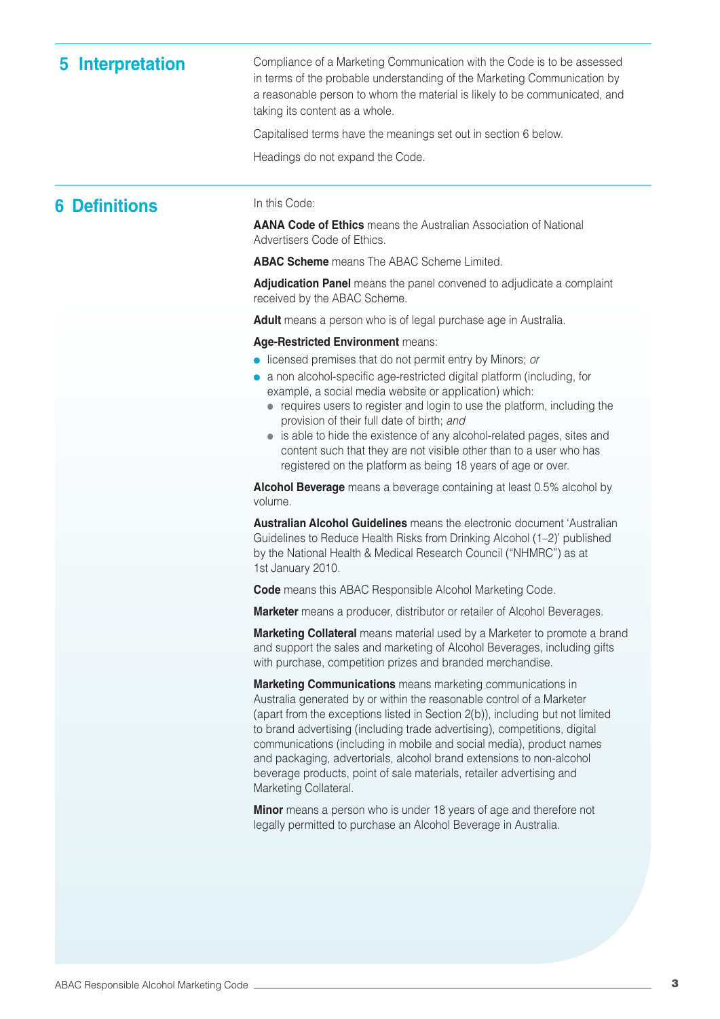**5** Interpretation Compliance of a Marketing Communication with the Code is to be assessed in terms of the probable understanding of the Marketing Communication by a reasonable person to whom the material is likely to be communicated, and taking its content as a whole.

Capitalised terms have the meanings set out in section 6 below.

Headings do not expand the Code.

### **6 Definitions** In this Code:

**AANA Code of Ethics** means the Australian Association of National Advertisers Code of Ethics.

**ABAC Scheme** means The ABAC Scheme Limited.

**Adjudication Panel** means the panel convened to adjudicate a complaint received by the ABAC Scheme.

**Adult** means a person who is of legal purchase age in Australia.

#### **Age-Restricted Environment** means:

- licensed premises that do not permit entry by Minors; or
- a non alcohol-specific age-restricted digital platform (including, for example, a social media website or application) which:
	- requires users to register and login to use the platform, including the provision of their full date of birth; and
	- is able to hide the existence of any alcohol-related pages, sites and content such that they are not visible other than to a user who has registered on the platform as being 18 years of age or over.

**Alcohol Beverage** means a beverage containing at least 0.5% alcohol by volume.

**Australian Alcohol Guidelines** means the electronic document 'Australian Guidelines to Reduce Health Risks from Drinking Alcohol (1–2)' published by the National Health & Medical Research Council ("NHMRC") as at 1st January 2010.

**Code** means this ABAC Responsible Alcohol Marketing Code.

**Marketer** means a producer, distributor or retailer of Alcohol Beverages.

**Marketing Collateral** means material used by a Marketer to promote a brand and support the sales and marketing of Alcohol Beverages, including gifts with purchase, competition prizes and branded merchandise.

**Marketing Communications** means marketing communications in Australia generated by or within the reasonable control of a Marketer (apart from the exceptions listed in Section 2(b)), including but not limited to brand advertising (including trade advertising), competitions, digital communications (including in mobile and social media), product names and packaging, advertorials, alcohol brand extensions to non-alcohol beverage products, point of sale materials, retailer advertising and Marketing Collateral.

**Minor** means a person who is under 18 years of age and therefore not legally permitted to purchase an Alcohol Beverage in Australia.